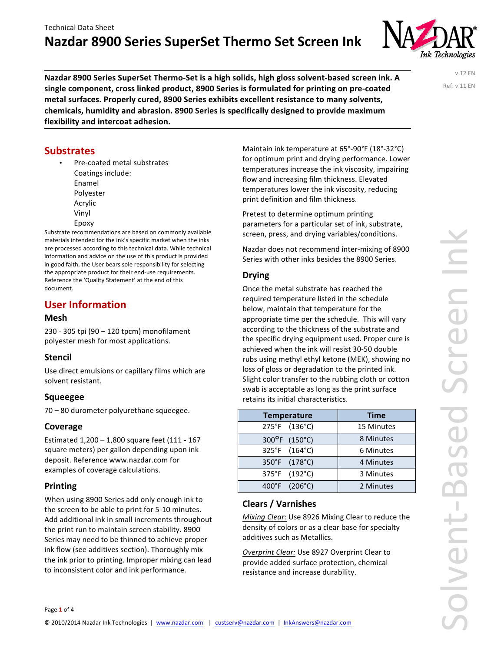# Technical Data Sheet **Nazdar 8900 Series SuperSet Thermo Set Screen Ink**



Nazdar 8900 Series SuperSet Thermo-Set is a high solids, high gloss solvent-based screen ink. A single component, cross linked product, 8900 Series is formulated for printing on pre-coated metal surfaces. Properly cured, 8900 Series exhibits excellent resistance to many solvents, chemicals, humidity and abrasion. 8900 Series is specifically designed to provide maximum flexibility and intercoat adhesion.

v 12 EN Ref: v 11 EN

# **Substrates**

Pre-coated metal substrates Coatings include: Enamel Polyester Acrylic Vinyl Epoxy

Substrate recommendations are based on commonly available materials intended for the ink's specific market when the inks are processed according to this technical data. While technical information and advice on the use of this product is provided in good faith, the User bears sole responsibility for selecting the appropriate product for their end-use requirements. Reference the 'Quality Statement' at the end of this document. 

# **User Information**

#### **Mesh**

 $230 - 305$  tpi (90 - 120 tpcm) monofilament polyester mesh for most applications.

## **Stencil**

Use direct emulsions or capillary films which are solvent resistant.

## **Squeegee**

 $70 - 80$  durometer polyurethane squeegee.

## **Coverage**

Estimated  $1,200 - 1,800$  square feet  $(111 - 167)$ square meters) per gallon depending upon ink deposit. Reference www.nazdar.com for examples of coverage calculations.

## **Printing**

When using 8900 Series add only enough ink to the screen to be able to print for 5-10 minutes. Add additional ink in small increments throughout the print run to maintain screen stability. 8900 Series may need to be thinned to achieve proper ink flow (see additives section). Thoroughly mix the ink prior to printing. Improper mixing can lead to inconsistent color and ink performance.

Maintain ink temperature at 65°-90°F (18°-32°C) for optimum print and drying performance. Lower temperatures increase the ink viscosity, impairing flow and increasing film thickness. Elevated temperatures lower the ink viscosity, reducing print definition and film thickness.

Pretest to determine optimum printing parameters for a particular set of ink, substrate, screen, press, and drying variables/conditions.

Nazdar does not recommend inter-mixing of 8900 Series with other inks besides the 8900 Series.

# **Drying**

Once the metal substrate has reached the required temperature listed in the schedule below, maintain that temperature for the appropriate time per the schedule. This will vary according to the thickness of the substrate and the specific drying equipment used. Proper cure is achieved when the ink will resist 30-50 double rubs using methyl ethyl ketone (MEK), showing no loss of gloss or degradation to the printed ink. Slight color transfer to the rubbing cloth or cotton swab is acceptable as long as the print surface retains its initial characteristics.

| <b>Temperature</b> | <b>Time</b> |
|--------------------|-------------|
| 275°F (136°C)      | 15 Minutes  |
| 300°F (150°C)      | 8 Minutes   |
| 325°F (164°C)      | 6 Minutes   |
| 350°F (178°C)      | 4 Minutes   |
| 375°F (192°C)      | 3 Minutes   |
| 400°F (206°C)      | 2 Minutes   |

## **Clears / Varnishes**

*Mixing Clear:* Use 8926 Mixing Clear to reduce the density of colors or as a clear base for specialty additives such as Metallics.

*Overprint Clear:* Use 8927 Overprint Clear to provide added surface protection, chemical resistance and increase durability.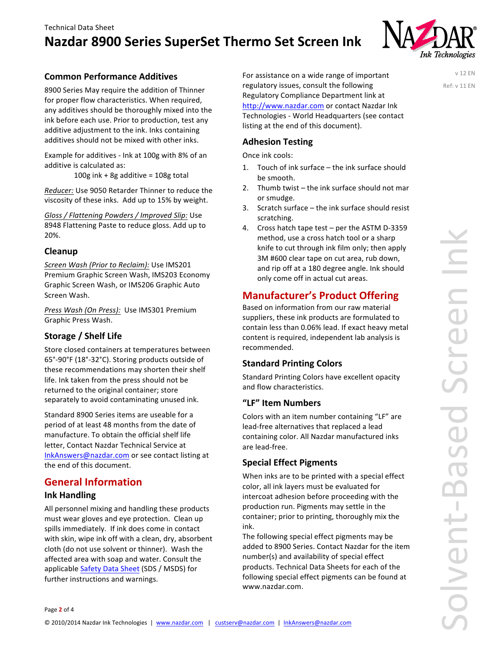# **Nazdar 8900 Series SuperSet Thermo Set Screen Ink**



v 12 EN Ref: v 11 EN

# **Common Performance Additives**

8900 Series May require the addition of Thinner for proper flow characteristics. When required, any additives should be thoroughly mixed into the ink before each use. Prior to production, test any additive adjustment to the ink. Inks containing additives should not be mixed with other inks.

Example for additives - Ink at 100g with 8% of an additive is calculated as:

100g ink + 8g additive =  $108g$  total

*Reducer:* Use 9050 Retarder Thinner to reduce the viscosity of these inks. Add up to 15% by weight.

*Gloss / Flattening Powders / Improved Slip:* Use 8948 Flattening Paste to reduce gloss. Add up to 20%.

# **Cleanup**

*Screen Wash (Prior to Reclaim):* Use IMS201 Premium Graphic Screen Wash, IMS203 Economy Graphic Screen Wash, or IMS206 Graphic Auto Screen Wash.

*Press Wash (On Press):* Use IMS301 Premium Graphic Press Wash.

# **Storage / Shelf Life**

Store closed containers at temperatures between  $65^{\circ}$ -90°F (18°-32°C). Storing products outside of these recommendations may shorten their shelf life. Ink taken from the press should not be returned to the original container; store separately to avoid contaminating unused ink.

Standard 8900 Series items are useable for a period of at least 48 months from the date of manufacture. To obtain the official shelf life letter, Contact Nazdar Technical Service at InkAnswers@nazdar.com or see contact listing at the end of this document.

# **General Information**

## **Ink Handling**

All personnel mixing and handling these products must wear gloves and eye protection. Clean up spills immediately. If ink does come in contact with skin, wipe ink off with a clean, dry, absorbent cloth (do not use solvent or thinner). Wash the affected area with soap and water. Consult the applicable Safety Data Sheet (SDS / MSDS) for further instructions and warnings.

For assistance on a wide range of important regulatory issues, consult the following Regulatory Compliance Department link at http://www.nazdar.com or contact Nazdar Ink Technologies - World Headquarters (see contact listing at the end of this document).

# **Adhesion Testing**

Once ink cools:

- 1. Touch of ink surface  $-$  the ink surface should be smooth.
- 2. Thumb twist  $-$  the ink surface should not mar or smudge.
- 3. Scratch surface  $-$  the ink surface should resist scratching.
- 4. Cross hatch tape test per the ASTM D-3359 method, use a cross hatch tool or a sharp knife to cut through ink film only; then apply 3M #600 clear tape on cut area, rub down, and rip off at a 180 degree angle. Ink should only come off in actual cut areas.

# **Manufacturer's Product Offering**

Based on information from our raw material suppliers, these ink products are formulated to contain less than 0.06% lead. If exact heavy metal content is required, independent lab analysis is recommended.

# **Standard Printing Colors**

Standard Printing Colors have excellent opacity and flow characteristics.

## **"LF" Item Numbers**

Colors with an item number containing "LF" are lead-free alternatives that replaced a lead containing color. All Nazdar manufactured inks are lead-free.

# **Special Effect Pigments**

When inks are to be printed with a special effect color, all ink layers must be evaluated for intercoat adhesion before proceeding with the production run. Pigments may settle in the container; prior to printing, thoroughly mix the ink.

The following special effect pigments may be added to 8900 Series. Contact Nazdar for the item number(s) and availability of special effect products. Technical Data Sheets for each of the following special effect pigments can be found at www.nazdar.com.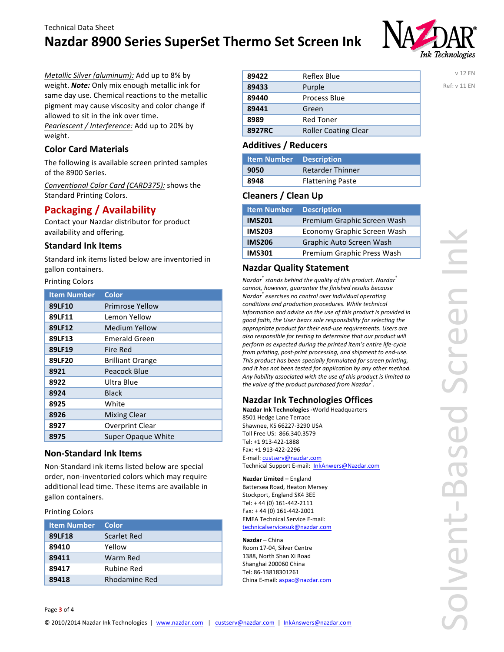# **Nazdar 8900 Series SuperSet Thermo Set Screen Ink**



v 12 EN Ref: v 11 EN

*Metallic Silver (aluminum):* Add up to 8% by weight. *Note:* Only mix enough metallic ink for same day use. Chemical reactions to the metallic pigment may cause viscosity and color change if allowed to sit in the ink over time. *Pearlescent* / Interference: Add up to 20% by weight.

# **Color Card Materials**

The following is available screen printed samples of the 8900 Series.

*Conventional Color Card (CARD375):* shows the Standard Printing Colors.

# **Packaging / Availability**

Contact your Nazdar distributor for product availability and offering.

#### **Standard Ink Items**

Standard ink items listed below are inventoried in gallon containers.

#### Printing Colors

| <b>Item Number</b> | Color                     |
|--------------------|---------------------------|
| 89LF10             | <b>Primrose Yellow</b>    |
| 89LF11             | Lemon Yellow              |
| 89LF12             | Medium Yellow             |
| 89LF13             | Emerald Green             |
| 89LF19             | Fire Red                  |
| 89LF20             | <b>Brilliant Orange</b>   |
| 8921               | Peacock Blue              |
| 8922               | Ultra Blue                |
| 8924               | <b>Black</b>              |
| 8925               | White                     |
| 8926               | <b>Mixing Clear</b>       |
| 8927               | <b>Overprint Clear</b>    |
| 8975               | <b>Super Opague White</b> |

# **Non-Standard Ink Items**

Non-Standard ink items listed below are special order, non-inventoried colors which may require additional lead time. These items are available in gallon containers.

#### Printing Colors

| <b>Item Number</b> | <b>Color</b>       |
|--------------------|--------------------|
| 89LF18             | <b>Scarlet Red</b> |
| 89410              | Yellow             |
| 89411              | Warm Red           |
| 89417              | Rubine Red         |
| 89418              | Rhodamine Red      |

| 89433<br>Purple<br>Process Blue<br>89440<br>89441<br>Green<br><b>Red Toner</b><br>8989<br>8927RC<br><b>Roller Coating Clear</b> |
|---------------------------------------------------------------------------------------------------------------------------------|
|                                                                                                                                 |
|                                                                                                                                 |
|                                                                                                                                 |
|                                                                                                                                 |
|                                                                                                                                 |

## **Additives / Reducers**

| <b>Item Number</b> Description |                         |
|--------------------------------|-------------------------|
| 9050                           | <b>Retarder Thinner</b> |
| 8948                           | <b>Flattening Paste</b> |

## **Cleaners / Clean Up**

| <b>Item Number</b> | <b>Description</b>          |
|--------------------|-----------------------------|
| <b>IMS201</b>      | Premium Graphic Screen Wash |
| <b>IMS203</b>      | Economy Graphic Screen Wash |
| <b>IMS206</b>      | Graphic Auto Screen Wash    |
| <b>IMS301</b>      | Premium Graphic Press Wash  |

#### **Nazdar Quality Statement**

*Nazdar® stands behind the quality of this product. Nazdar®* cannot, however, guarantee the finished results because *Nazdar® exercises no control over individual operating*  conditions and production procedures. While technical *information and advice on the use of this product is provided in* good faith, the User bears sole responsibility for selecting the appropriate product for their end-use requirements. Users are also responsible for testing to determine that our product will perform as expected during the printed item's entire life-cycle from printing, post-print processing, and shipment to end-use. This product has been specially formulated for screen printing, and it has not been tested for application by any other method. Any liability associated with the use of this product is limited to the value of the product purchased from Nazdar<sup>®</sup>.

# **Nazdar Ink Technologies Offices**

**Nazdar Ink Technologies -**World Headquarters 8501 Hedge Lane Terrace Shawnee, KS 66227-3290 USA Toll Free US: 866.340.3579 Tel: +1 913-422-1888 Fax: +1 913-422-2296 E-mail: custserv@nazdar.com Technical Support E-mail: InkAnwers@Nazdar.com

**Nazdar Limited** – England Battersea Road, Heaton Mersey Stockport, England SK4 3EE Tel: + 44 (0) 161-442-2111 Fax: + 44 (0) 161-442-2001 EMEA Technical Service E-mail: technicalservicesuk@nazdar.com

**Nazdar** – China Room 17-04, Silver Centre 1388, North Shan Xi Road Shanghai 200060 China Tel: 86-13818301261 China E-mail: aspac@nazdar.com

## Page 3 of 4 © 2010/2014 Nazdar Ink Technologies | www.nazdar.com | custserv@nazdar.com | InkAnswers@nazdar.com